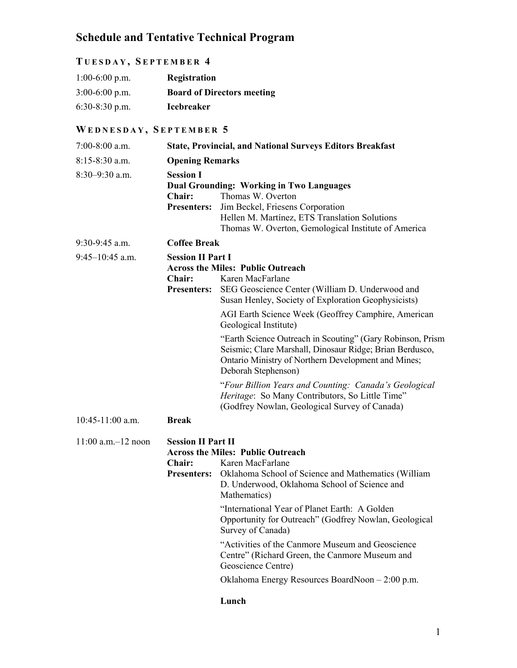## **Schedule and Tentative Technical Program**

## **T UESDAY , S EPTEMBER 4**

| $1:00-6:00$ p.m. | Registration                      |
|------------------|-----------------------------------|
| $3:00-6:00$ p.m. | <b>Board of Directors meeting</b> |
| $6:30-8:30$ p.m. | <b>Icebreaker</b>                 |

## **WEDNESDAY , S EPTEMBER 5**

| $7:00-8:00$ a.m.        |                                                           | <b>State, Provincial, and National Surveys Editors Breakfast</b>                                                                                                                                                                     |
|-------------------------|-----------------------------------------------------------|--------------------------------------------------------------------------------------------------------------------------------------------------------------------------------------------------------------------------------------|
| $8:15 - 8:30$ a.m.      | <b>Opening Remarks</b>                                    |                                                                                                                                                                                                                                      |
| $8:30-9:30$ a.m.        | <b>Session I</b><br><b>Chair:</b><br><b>Presenters:</b>   | <b>Dual Grounding: Working in Two Languages</b><br>Thomas W. Overton<br>Jim Beckel, Friesens Corporation<br>Hellen M. Martínez, ETS Translation Solutions<br>Thomas W. Overton, Gemological Institute of America                     |
| $9:30-9:45$ a.m.        | <b>Coffee Break</b>                                       |                                                                                                                                                                                                                                      |
| $9:45-10:45$ a.m.       | <b>Session II Part I</b><br>Chair:<br><b>Presenters:</b>  | <b>Across the Miles: Public Outreach</b><br>Karen MacFarlane<br>SEG Geoscience Center (William D. Underwood and<br>Susan Henley, Society of Exploration Geophysicists)                                                               |
|                         |                                                           | AGI Earth Science Week (Geoffrey Camphire, American<br>Geological Institute)                                                                                                                                                         |
|                         |                                                           | "Earth Science Outreach in Scouting" (Gary Robinson, Prism<br>Seismic; Clare Marshall, Dinosaur Ridge; Brian Berdusco,<br>Ontario Ministry of Northern Development and Mines;<br>Deborah Stephenson)                                 |
|                         |                                                           | "Four Billion Years and Counting: Canada's Geological<br>Heritage: So Many Contributors, So Little Time"<br>(Godfrey Nowlan, Geological Survey of Canada)                                                                            |
| $10:45-11:00$ a.m.      | <b>Break</b>                                              |                                                                                                                                                                                                                                      |
| $11:00$ a.m. $-12$ noon | <b>Session II Part II</b><br>Chair:<br><b>Presenters:</b> | <b>Across the Miles: Public Outreach</b><br>Karen MacFarlane<br>Oklahoma School of Science and Mathematics (William<br>D. Underwood, Oklahoma School of Science and<br>Mathematics)<br>"International Year of Planet Earth: A Golden |
|                         |                                                           | Opportunity for Outreach" (Godfrey Nowlan, Geological<br>Survey of Canada)                                                                                                                                                           |
|                         |                                                           | "Activities of the Canmore Museum and Geoscience<br>Centre" (Richard Green, the Canmore Museum and<br>Geoscience Centre)                                                                                                             |
|                         |                                                           | Oklahoma Energy Resources BoardNoon - 2:00 p.m.                                                                                                                                                                                      |
|                         |                                                           | Lunch                                                                                                                                                                                                                                |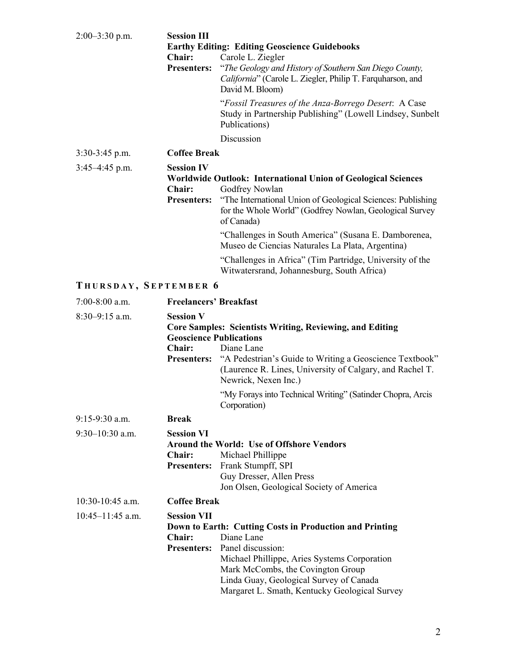| $2:00-3:30$ p.m.      | <b>Session III</b><br>Chair:<br><b>Presenters:</b>                  | <b>Earthy Editing: Editing Geoscience Guidebooks</b><br>Carole L. Ziegler<br>"The Geology and History of Southern San Diego County,<br>California" (Carole L. Ziegler, Philip T. Farquharson, and<br>David M. Bloom)<br>"Fossil Treasures of the Anza-Borrego Desert: A Case<br>Study in Partnership Publishing" (Lowell Lindsey, Sunbelt |
|-----------------------|---------------------------------------------------------------------|-------------------------------------------------------------------------------------------------------------------------------------------------------------------------------------------------------------------------------------------------------------------------------------------------------------------------------------------|
|                       |                                                                     | Publications)<br>Discussion                                                                                                                                                                                                                                                                                                               |
| $3:30-3:45$ p.m.      | <b>Coffee Break</b>                                                 |                                                                                                                                                                                                                                                                                                                                           |
| $3:45-4:45$ p.m.      | <b>Session IV</b>                                                   |                                                                                                                                                                                                                                                                                                                                           |
|                       | Chair:<br><b>Presenters:</b>                                        | Worldwide Outlook: International Union of Geological Sciences<br>Godfrey Nowlan<br>"The International Union of Geological Sciences: Publishing<br>for the Whole World" (Godfrey Nowlan, Geological Survey<br>of Canada)<br>"Challenges in South America" (Susana E. Damborenea,<br>Museo de Ciencias Naturales La Plata, Argentina)       |
|                       |                                                                     | "Challenges in Africa" (Tim Partridge, University of the<br>Witwatersrand, Johannesburg, South Africa)                                                                                                                                                                                                                                    |
| THURSDAY, SEPTEMBER 6 |                                                                     |                                                                                                                                                                                                                                                                                                                                           |
| $7:00-8:00$ a.m.      | <b>Freelancers' Breakfast</b>                                       |                                                                                                                                                                                                                                                                                                                                           |
| $8:30-9:15$ a.m.      | <b>Session V</b><br><b>Geoscience Publications</b><br><b>Chair:</b> | <b>Core Samples: Scientists Writing, Reviewing, and Editing</b><br>Diane Lane<br><b>Presenters:</b> "A Pedestrian's Guide to Writing a Geoscience Textbook"<br>(Laurence R. Lines, University of Calgary, and Rachel T.<br>Newrick, Nexen Inc.)<br>"My Forays into Technical Writing" (Satinder Chopra, Arcis<br>Corporation)             |
| $9:15-9:30$ a.m.      | <b>Break</b>                                                        |                                                                                                                                                                                                                                                                                                                                           |
| $9:30-10:30$ a.m.     | <b>Session VI</b><br><b>Chair:</b><br><b>Presenters:</b>            | <b>Around the World: Use of Offshore Vendors</b><br>Michael Phillippe<br>Frank Stumpff, SPI<br>Guy Dresser, Allen Press<br>Jon Olsen, Geological Society of America                                                                                                                                                                       |
| $10:30-10:45$ a.m.    | <b>Coffee Break</b>                                                 |                                                                                                                                                                                                                                                                                                                                           |
| $10:45-11:45$ a.m.    | <b>Session VII</b><br><b>Chair:</b><br><b>Presenters:</b>           | Down to Earth: Cutting Costs in Production and Printing<br>Diane Lane<br>Panel discussion:<br>Michael Phillippe, Aries Systems Corporation<br>Mark McCombs, the Covington Group<br>Linda Guay, Geological Survey of Canada<br>Margaret L. Smath, Kentucky Geological Survey                                                               |